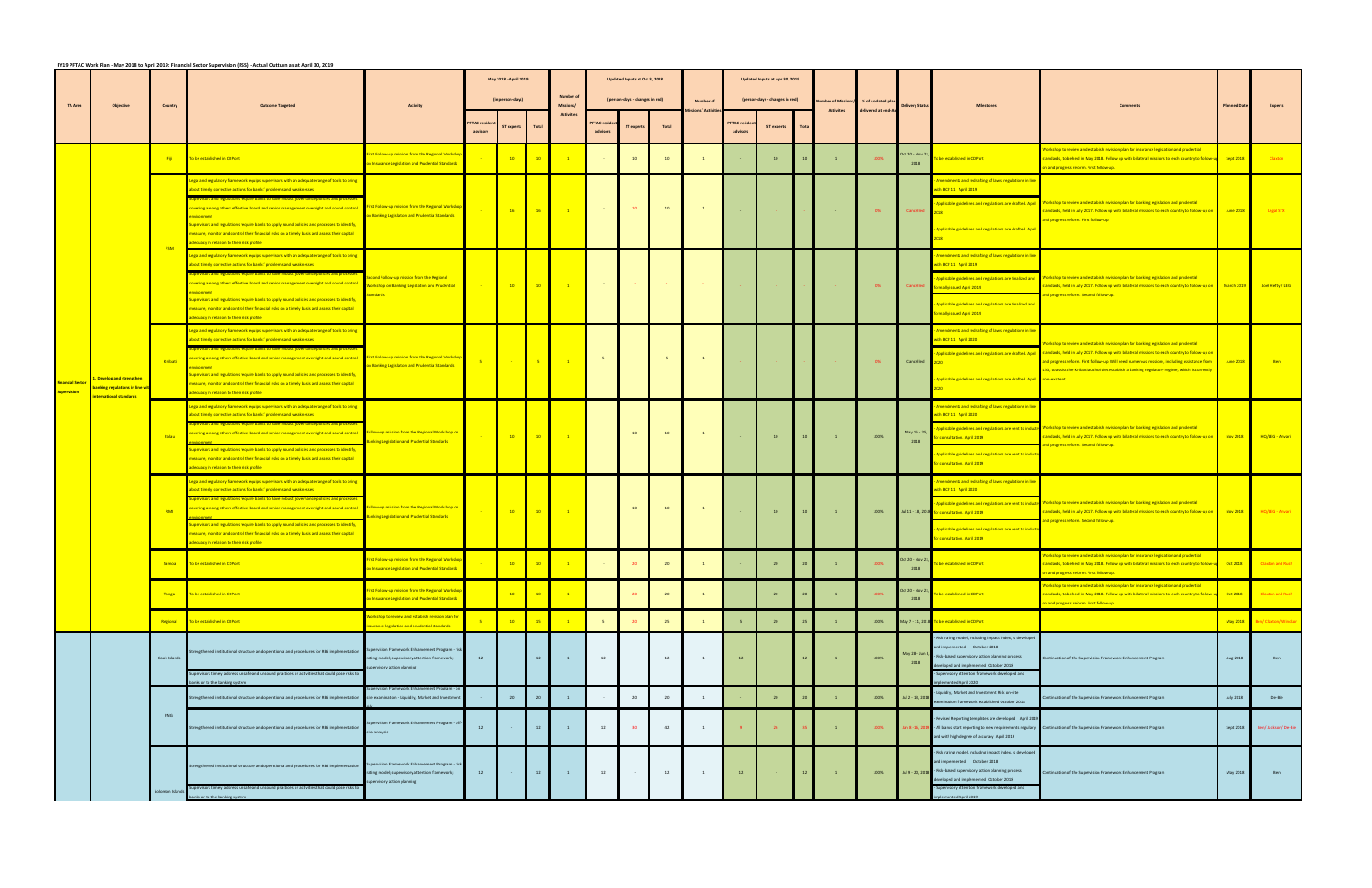|                | FY19 PFTAC Work Plan - May 2018 to April 2019: Financial Sector Supervision (FSS) - Actual Outturn as at April 30, 2019 |              |                                                                                                                                                                                                                                                       |                                                                                                        |                                           |                   |                                                                           |                                           |                                   |                               |              |                                  |                                |                   |                 |                                          |                                        |                         |                                                                                                              |                                                                                                                                                                                                                                                                                                                                                                                               |                  |                              |
|----------------|-------------------------------------------------------------------------------------------------------------------------|--------------|-------------------------------------------------------------------------------------------------------------------------------------------------------------------------------------------------------------------------------------------------------|--------------------------------------------------------------------------------------------------------|-------------------------------------------|-------------------|---------------------------------------------------------------------------|-------------------------------------------|-----------------------------------|-------------------------------|--------------|----------------------------------|--------------------------------|-------------------|-----------------|------------------------------------------|----------------------------------------|-------------------------|--------------------------------------------------------------------------------------------------------------|-----------------------------------------------------------------------------------------------------------------------------------------------------------------------------------------------------------------------------------------------------------------------------------------------------------------------------------------------------------------------------------------------|------------------|------------------------------|
|                | <b>TA Area</b><br>Objective                                                                                             |              |                                                                                                                                                                                                                                                       |                                                                                                        | May 2018 - April 2019<br>(in person-days) |                   |                                                                           |                                           |                                   | Updated Inputs at Oct 3, 2018 |              |                                  | Updated Inputs at Apr 30, 2019 |                   |                 |                                          |                                        |                         |                                                                                                              |                                                                                                                                                                                                                                                                                                                                                                                               |                  |                              |
|                |                                                                                                                         |              | <b>Outcome Targete</b>                                                                                                                                                                                                                                | Activity                                                                                               |                                           |                   |                                                                           | <b>Number of</b><br><b>Missions</b>       | (person-days - changes in red)    |                               |              | <b>Number of</b><br>ons/ Activit | (person-days - changes in red) |                   |                 | lumber of Missions/<br><b>Activities</b> | % of updated pla<br>delivered at end-A | <b>Delivery Statu</b>   |                                                                                                              |                                                                                                                                                                                                                                                                                                                                                                                               |                  |                              |
|                |                                                                                                                         |              |                                                                                                                                                                                                                                                       |                                                                                                        | <b>PFTAC</b> reside<br>advisors           | <b>ST</b> experts | Total                                                                     |                                           | <b>FTAC</b> resi                  | <b>ST</b> experts             | <b>Total</b> |                                  | <b>PFTAC</b> reside            | <b>ST experts</b> | Tota            |                                          |                                        |                         |                                                                                                              |                                                                                                                                                                                                                                                                                                                                                                                               |                  |                              |
|                |                                                                                                                         |              |                                                                                                                                                                                                                                                       |                                                                                                        |                                           |                   |                                                                           |                                           |                                   |                               |              |                                  |                                |                   |                 |                                          |                                        |                         |                                                                                                              | orkshop to review and establish revision plan for insurance legislation and prudential                                                                                                                                                                                                                                                                                                        |                  |                              |
|                |                                                                                                                         | Fiji -       | To be established in CDPort                                                                                                                                                                                                                           | irst Follow-up mission from the Regional Worksho<br>n Insurance Legislation and Prudential Standards   |                                           | $10-10$           | $-10$                                                                     |                                           |                                   |                               |              |                                  |                                | 10                |                 |                                          | 100%                                   | Oct 20 - Nov 23<br>2018 | be established in CDPort                                                                                     | Landards, to beheld in May 2018. Follow up with bilateral missions to each country to follow-u Sept 2018<br>on and progress reform. First follow-up.                                                                                                                                                                                                                                          |                  | <b>Claxton</b>               |
|                |                                                                                                                         |              | Legal and regulatory framework equips supervisors with an adequate range of tools to bring<br>about timely corrective actions for banks' problems and weaknesses                                                                                      |                                                                                                        |                                           |                   |                                                                           |                                           |                                   |                               |              |                                  |                                |                   |                 |                                          |                                        |                         | mendments and redrafting of laws, regulations in line<br>with BCP 11 April 2019                              |                                                                                                                                                                                                                                                                                                                                                                                               |                  |                              |
|                |                                                                                                                         |              | visors and regulations require banks to have robust governance policies and process<br>vering among others effective board and senior management oversight and sound control                                                                          | First Follow-up mission from the Regional Worksho                                                      |                                           |                   |                                                                           |                                           | <b>Contract Contract Contract</b> | 10                            | 10           | $\mathbf{1}$                     |                                |                   |                 |                                          |                                        |                         | Applicable guidelines and regulations are drafted. April                                                     | Workshop to review and establish revision plan for banking legislation and prudential                                                                                                                                                                                                                                                                                                         |                  |                              |
|                |                                                                                                                         |              | upervisors and regulations require banks to apply sound policies and processes to identify,                                                                                                                                                           | on Banking Legislation and Prudential Standards                                                        |                                           | $-16$             | $\frac{1}{2}$ 16                                                          | $\sim$ – $1$ – $\sim$                     |                                   |                               |              |                                  |                                |                   |                 |                                          | - 0%                                   | Cancelled               | 2018                                                                                                         | tandards, held in July 2017. Follow up with bilateral missions to each country to follow-up on June 2018<br>and progress reform. First follow-up.                                                                                                                                                                                                                                             |                  | <b>Legal STX</b>             |
|                |                                                                                                                         | <b>FSM</b>   | leasure, monitor and control their financial risks on a timely basis and assess their capital<br>dequacy in relation to their risk profile                                                                                                            |                                                                                                        |                                           |                   |                                                                           |                                           |                                   |                               |              |                                  |                                |                   |                 |                                          |                                        |                         | Applicable guidelines and regulations are drafted. April                                                     |                                                                                                                                                                                                                                                                                                                                                                                               |                  |                              |
|                |                                                                                                                         |              | Legal and regulatory framework equips supervisors with an adequate range of tools to bring<br>bout timely corrective actions for banks' problems and weaknesses                                                                                       |                                                                                                        |                                           |                   |                                                                           |                                           |                                   |                               |              |                                  |                                |                   |                 |                                          |                                        |                         | Amendments and redrafting of laws, regulations in line<br>with BCP 11 April 2019                             |                                                                                                                                                                                                                                                                                                                                                                                               |                  |                              |
|                |                                                                                                                         |              | visors and regulations require banks to have robust governance policies and proc<br>overing among others effective board and senior management oversight and sound control                                                                            | cond Follow-up mission from the Regional<br><b>Norkshop on Banking Legislation and Prudential</b>      | <b>Contract Contract</b>                  |                   | $\begin{array}{ c c c c c } \hline \textbf{10} & \textbf{10} \end{array}$ | $\sim$ $\sim$ $\sim$ $\sim$ $\sim$ $\sim$ |                                   |                               |              |                                  |                                |                   |                 |                                          | $0\%$                                  |                         | <b>Applicable guidelines and regulations are finalized and</b>                                               | <b>Norkshop to review and establish revision plan for banking legislation and prudential</b>                                                                                                                                                                                                                                                                                                  |                  |                              |
|                |                                                                                                                         |              | upervisors and regulations require banks to apply sound policies and processes to identify,                                                                                                                                                           |                                                                                                        |                                           |                   |                                                                           |                                           |                                   |                               |              |                                  |                                |                   |                 |                                          |                                        |                         | Cancelled <b>formally issued April 2019</b>                                                                  | tandards, held in July 2017. Follow up with bilateral missions to each country to follow-up on March 2019<br>and progress reform. Second follow-up.                                                                                                                                                                                                                                           |                  | Joel Hefty / LEG             |
|                |                                                                                                                         |              | neasure, monitor and control their financial risks on a timely basis and assess their capital<br>adequacy in relation to their risk profile                                                                                                           |                                                                                                        |                                           |                   |                                                                           |                                           |                                   |                               |              |                                  |                                |                   |                 |                                          |                                        |                         | Applicable guidelines and regulations are finalized and<br><b>mally issued April 2019</b>                    |                                                                                                                                                                                                                                                                                                                                                                                               |                  |                              |
|                |                                                                                                                         | Kiribati     | egal and regulatory framework equips supervisors with an adequate range of tools to bring<br>bout timely corrective actions for banks' problems and weaknesses                                                                                        |                                                                                                        |                                           |                   | $-5$                                                                      |                                           |                                   |                               | $5 -$        | $\mathbf{1}$                     |                                |                   |                 |                                          |                                        |                         | mendments and redrafting of laws, regulations in line<br>with BCP 11 April 2020                              | Vorkshop to review and establish revision plan for banking legislation and prudential<br>standards, held in July 2017. Follow up with bilateral missions to each country to follow-up or<br>and progress reform. First follow-up. Will need numerous missions, including assistance from<br>LEG, to assist the Kiribati authorities establish a banking regulatory regime, which is currently |                  |                              |
|                |                                                                                                                         |              | ering among others effective board and senior management oversight and sound control                                                                                                                                                                  | First Follow-up mission from the Regional Workshop<br>on Banking Legislation and Prudential Standards  |                                           |                   |                                                                           | $-1$                                      | $-5$                              |                               |              |                                  |                                |                   |                 |                                          | 0%                                     | Cancelled               | Applicable guidelines and regulations are drafted. April                                                     |                                                                                                                                                                                                                                                                                                                                                                                               | June 2018        | <b>Ben</b>                   |
| inancial Secto | Develop and strengthen<br><mark>anking regulations in line wit</mark>                                                   |              | ervisors and regulations require banks to apply sound policies and processes to identify<br>leasure, monitor and control their financial risks on a timely basis and assess their capital                                                             |                                                                                                        |                                           |                   |                                                                           |                                           |                                   |                               |              |                                  |                                |                   |                 |                                          |                                        |                         | Applicable guidelines and regulations are drafted. April <b>Conventions</b>                                  |                                                                                                                                                                                                                                                                                                                                                                                               |                  |                              |
| upervision     | <b>nternational standards</b>                                                                                           |              | dequacy in relation to their risk profile                                                                                                                                                                                                             |                                                                                                        |                                           |                   |                                                                           |                                           |                                   |                               |              |                                  |                                |                   |                 |                                          |                                        |                         | mendments and redrafting of laws, regulations in line                                                        |                                                                                                                                                                                                                                                                                                                                                                                               |                  |                              |
|                |                                                                                                                         | Palau        | egal and regulatory framework equips supervisors with an adequate range of tools to bring<br>bout timely corrective actions for banks' problems and weaknesses<br>visors and regulations require banks to have robust governance policies and process |                                                                                                        |                                           |                   |                                                                           |                                           |                                   |                               |              |                                  |                                |                   |                 |                                          |                                        |                         | with BCP 11 April 2020                                                                                       |                                                                                                                                                                                                                                                                                                                                                                                               |                  |                              |
|                |                                                                                                                         |              | ering among others effective board and senior management oversight and sound control                                                                                                                                                                  | ollow-up mission from the Regional Workshop on<br><b>Ranking Legislation and Prudential Standards</b>  |                                           | $-10$             | $\frac{1}{2}$ 10                                                          | $\sim$ $\sim$ $\sim$ $\sim$ $\sim$        | <b>Contract</b>                   | 10                            | 10           | $\mathbf{1}$                     |                                | 10                | 10 <sup>°</sup> | $\mathbf{1}$                             | 100%                                   | May 16 - 25,<br>2018    | Applicable guidelines and regulations are sent to industry<br>r consultation. April 2019                     | Workshop to review and establish revision plan for banking legislation and prudential<br>tandards, held in July 2017. Follow up with bilateral missions to each country to follow-up on Nov 2018                                                                                                                                                                                              |                  | HQ/LEG - Anvari              |
|                |                                                                                                                         |              | upervisors and regulations require banks to apply sound policies and processes to identify,<br>leasure, monitor and control their financial risks on a timely basis and assess their capital                                                          |                                                                                                        |                                           |                   |                                                                           |                                           |                                   |                               |              |                                  |                                |                   |                 |                                          |                                        |                         | Applicable guidelines and regulations are sent to indust<br>r consultation. April 2019                       | and progress reform. Second follow-up.                                                                                                                                                                                                                                                                                                                                                        |                  |                              |
|                |                                                                                                                         |              | dequacy in relation to their risk profile<br>egal and regulatory framework equips supervisors with an adequate range of tools to bring                                                                                                                |                                                                                                        |                                           |                   |                                                                           |                                           |                                   |                               |              |                                  |                                |                   |                 |                                          |                                        |                         | Amendments and redrafting of laws, regulations in line                                                       |                                                                                                                                                                                                                                                                                                                                                                                               |                  |                              |
|                |                                                                                                                         |              | hout timely corrective actions for hanks' problems and weaknesses.<br>regulations require banks to have robust governance poli                                                                                                                        |                                                                                                        |                                           |                   |                                                                           |                                           |                                   |                               |              |                                  |                                |                   |                 |                                          |                                        |                         | with BCP 11 April 2020                                                                                       |                                                                                                                                                                                                                                                                                                                                                                                               |                  |                              |
|                |                                                                                                                         | RMI          | ering among others effective board and senior management oversight and sound control                                                                                                                                                                  | <b>Follow-up mission from the Regional Workshop on</b><br>Banking Legislation and Prudential Standards |                                           |                   |                                                                           | 10 10 1                                   | <b>Contractor</b>                 | 10                            | 10           | $\mathbf{1}$                     |                                | 10                | 10              | $\sim 1$ .                               | 100%                                   |                         | Applicable guidelines and regulations are sent to industry<br>Jul 11 - 18, 2018 for consultation. April 2019 | Workshop to review and establish revision plan for banking legislation and prudential<br>standards, held in July 2017. Follow up with bilateral missions to each country to follow-up on Nov 2018<br>and progress reform. Second follow-up.                                                                                                                                                   |                  | HQ/LEG - Anvari              |
|                |                                                                                                                         |              | upervisors and regulations require banks to apply sound policies and processes to identify,<br>leasure, monitor and control their financial risks on a timely basis and assess their capital                                                          |                                                                                                        |                                           |                   |                                                                           |                                           |                                   |                               |              |                                  |                                |                   |                 |                                          |                                        |                         | Applicable guidelines and regulations are sent to indust<br>r consultation. April 2019                       |                                                                                                                                                                                                                                                                                                                                                                                               |                  |                              |
|                |                                                                                                                         |              | dequacy in relation to their risk profile                                                                                                                                                                                                             |                                                                                                        |                                           |                   |                                                                           |                                           |                                   |                               |              |                                  |                                |                   |                 |                                          |                                        |                         |                                                                                                              | Workshop to review and establish revision plan for insurance legislation and prudential                                                                                                                                                                                                                                                                                                       |                  |                              |
|                |                                                                                                                         | Samoa        | To be established in CDPort                                                                                                                                                                                                                           | on Insurance Legislation and Prudential Standards                                                      |                                           |                   |                                                                           |                                           |                                   |                               | 20           |                                  |                                | 20                |                 |                                          | 100%                                   | 2018                    | To be established in CDPort                                                                                  | standards, to beheld in May 2018. Follow up with bilateral missions to each country to follow-un and Coct 2018<br>on and progress reform. First follow-up.                                                                                                                                                                                                                                    |                  | <b>Claxton and Rush</b>      |
|                |                                                                                                                         |              | Tonga To be established in CDPort                                                                                                                                                                                                                     | irst Follow-up mission from the Regional Worksho                                                       |                                           | $10-10$           | 10                                                                        |                                           |                                   |                               | 20           |                                  |                                | 20                |                 |                                          | 100%                                   | Oct 20 - Nov 2          | o be established in CDPort                                                                                   | Vorkshop to review and establish revision plan for insurance legislation and prudential<br>tandards, to beheld in May 2018. Follow up with bilateral missions to each country to follow-u Cct 2018                                                                                                                                                                                            |                  | <b>Claxton and Rush</b>      |
|                |                                                                                                                         |              |                                                                                                                                                                                                                                                       | on Insurance Legislation and Prudential Standards                                                      |                                           |                   |                                                                           |                                           |                                   |                               |              |                                  |                                |                   |                 |                                          |                                        | 2018                    |                                                                                                              | on and progress reform. First follow-up.                                                                                                                                                                                                                                                                                                                                                      |                  |                              |
|                |                                                                                                                         |              | Regional To be established in CDPort                                                                                                                                                                                                                  | Vorkshop to review and establish revision plan for<br>surance legislation and prudential standards     |                                           | 10 <sup>1</sup>   | 15                                                                        |                                           |                                   |                               | 25           |                                  |                                | 20                | 25              |                                          | 100%                                   |                         | May 7 - 11, 2018 To be established in CDPort                                                                 |                                                                                                                                                                                                                                                                                                                                                                                               | May 2018         | <b>Sen/Claxton/Windsor</b>   |
|                |                                                                                                                         | Cook Islands | trengthened institutional structure and operational and procedures for RBS implementation                                                                                                                                                             | Supervision Framework Enhancement Program - risk                                                       | 12                                        |                   |                                                                           |                                           |                                   |                               | 12           |                                  |                                |                   |                 |                                          |                                        |                         | - Risk rating model, including impact index, is developed<br>and implemented  October 2018                   |                                                                                                                                                                                                                                                                                                                                                                                               |                  |                              |
|                |                                                                                                                         |              |                                                                                                                                                                                                                                                       | rating model; supervisory attention framework;<br>ervisory action planning                             |                                           | <b>Contract</b>   | 12                                                                        | $\overline{1}$                            | 12                                |                               |              | $\overline{1}$                   | 12                             |                   |                 | $\overline{1}$                           | 100%                                   | May 28 - Jun<br>2018    | - Risk-based supervisory action planning process<br>leveloped and implemented October 2018                   | ontinuation of the Supervision Framework Enhancement Program                                                                                                                                                                                                                                                                                                                                  | Aug 2018         | Ben                          |
|                |                                                                                                                         |              | rvisors timely address unsafe and unsound practices or activities that could pose risks t<br>nks or to the banking system                                                                                                                             | pervision Framework Enhancement Program - or                                                           |                                           |                   |                                                                           |                                           |                                   |                               |              |                                  |                                |                   |                 |                                          |                                        |                         | Supervisory attention framework developed and<br>emented April 2020                                          |                                                                                                                                                                                                                                                                                                                                                                                               |                  |                              |
|                |                                                                                                                         |              | rengthened institutional structure and operational and procedures for RBS implementation                                                                                                                                                              | site examination - Liquidity, Market and Investmen                                                     |                                           | 20                | 20 <sub>2</sub>                                                           | $\mathbf{1}$                              |                                   | 20                            | 20           | $\mathbf{1}$                     |                                | 20                |                 | $\mathbf{1}$                             | 100%                                   | Jul 2 - 13, 2018        | Liquidity, Market and Investment Risk on-site<br>xamination framework established October 2018               | ntinuation of the Supervision Framework Enhancement Program                                                                                                                                                                                                                                                                                                                                   | <b>July 2018</b> | De-Bie                       |
|                |                                                                                                                         | PNG          | rengthened institutional structure and operational and procedures for RBS implementation                                                                                                                                                              | upervision Framework Enhancement Program - off                                                         | 12                                        |                   | 12                                                                        | $\mathbf{1}$                              | 12                                | 30                            | 42           | $\overline{1}$                   | Q                              | 26                |                 | $\mathbf{1}$                             | 100%                                   |                         | - Revised Reporting templates are developed April 2019                                                       | Jan 8-16, 2019 - All banks start reporting to new requirements regularly Continuation of the Supervision Framework Enhancement Program                                                                                                                                                                                                                                                        |                  | Sept 2018 Ben/Jackson/De-Bie |
|                |                                                                                                                         |              |                                                                                                                                                                                                                                                       | site analysis                                                                                          |                                           |                   |                                                                           |                                           |                                   |                               |              |                                  |                                |                   |                 |                                          |                                        |                         | and with high degree of accuracy April 2019                                                                  |                                                                                                                                                                                                                                                                                                                                                                                               |                  |                              |
|                |                                                                                                                         |              | Strengthened institutional structure and operational and procedures for RBS implementation                                                                                                                                                            | iupervision Framework Enhancement Program - risk                                                       |                                           |                   |                                                                           |                                           |                                   |                               |              |                                  |                                |                   |                 |                                          |                                        |                         | - Risk rating model, including impact index, is developed<br>and implemented  October 2018                   |                                                                                                                                                                                                                                                                                                                                                                                               |                  |                              |
|                |                                                                                                                         |              |                                                                                                                                                                                                                                                       | ating model; supervisory attention framework;<br>ervisory action planning                              | 12                                        |                   | 12                                                                        | $\blacksquare$                            | 12                                |                               | <b>12</b>    | $\overline{1}$                   | 12                             |                   | 12              | $\overline{1}$                           | 100%                                   | Jul 9 - 20, 2018        | - Risk-based supervisory action planning process<br>eloped and implemented October 2018                      | ontinuation of the Supervision Framework Enhancement Program                                                                                                                                                                                                                                                                                                                                  | May 2018         | Ben <sub>1</sub>             |
|                |                                                                                                                         |              | ervisors timely address unsafe and unsound practices or activities that could pose risks t<br>nks or to the banking system                                                                                                                            |                                                                                                        |                                           |                   |                                                                           |                                           |                                   |                               |              |                                  |                                |                   |                 |                                          |                                        |                         | upervisory attention framework developed and<br>Printed Anril 2019                                           |                                                                                                                                                                                                                                                                                                                                                                                               |                  |                              |